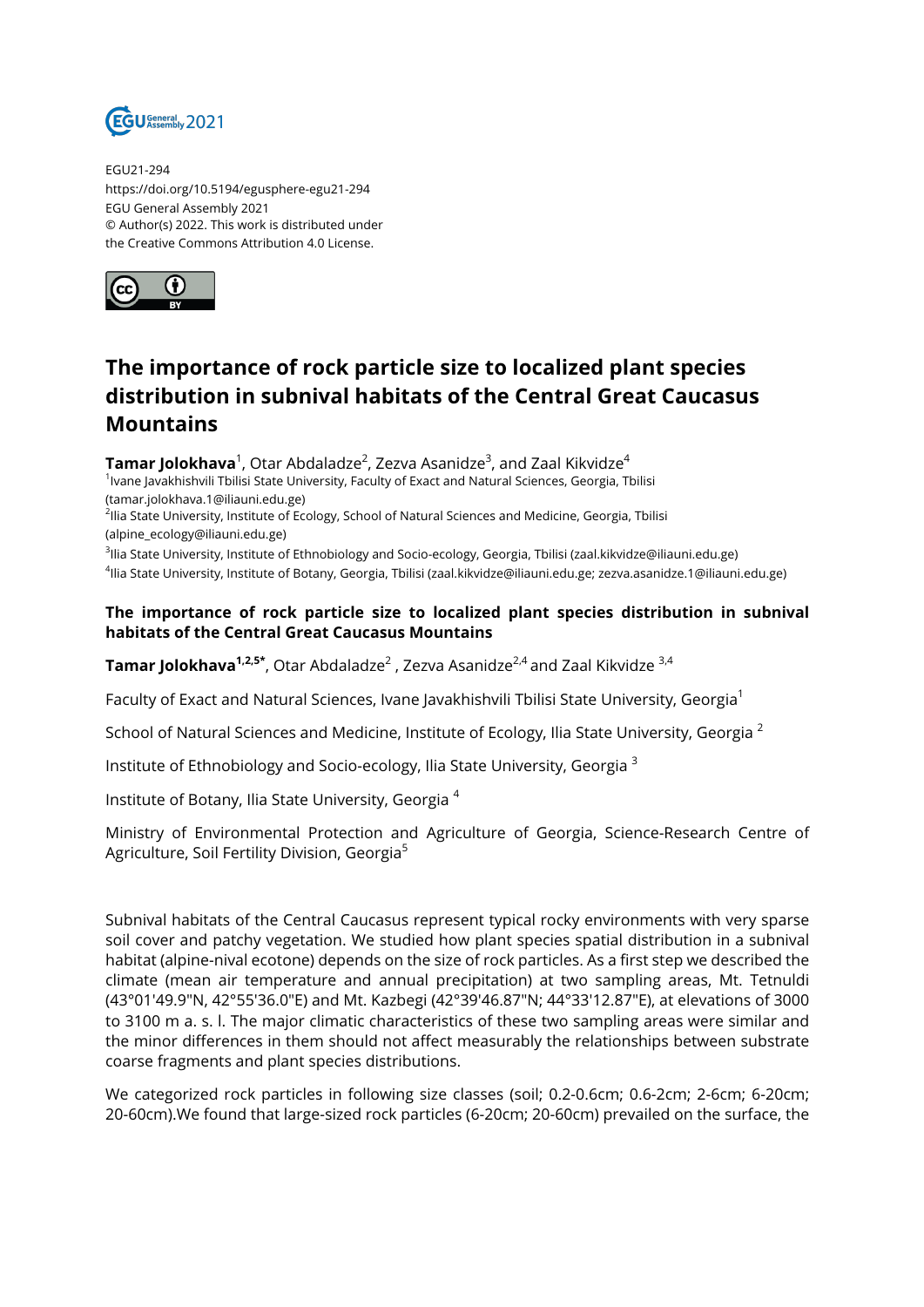

EGU21-294 https://doi.org/10.5194/egusphere-egu21-294 EGU General Assembly 2021 © Author(s) 2022. This work is distributed under the Creative Commons Attribution 4.0 License.



## **The importance of rock particle size to localized plant species distribution in subnival habitats of the Central Great Caucasus Mountains**

 $\mathsf{T}$ amar Jolokhava $^1$ , Otar Abdaladze $^2$ , Zezva Asanidze $^3$ , and Zaal Kikvidze $^4$ <sup>1</sup>Ivane Javakhishvili Tbilisi State University, Faculty of Exact and Natural Sciences, Georgia, Tbilisi (tamar.jolokhava.1@iliauni.edu.ge) <sup>2</sup>llia State University, Institute of Ecology, School of Natural Sciences and Medicine, Georgia, Tbilisi

(alpine\_ecology@iliauni.edu.ge)

<sup>3</sup>llia State University, Institute of Ethnobiology and Socio-ecology, Georgia, Tbilisi (zaal.kikvidze@iliauni.edu.ge) 4 Ilia State University, Institute of Botany, Georgia, Tbilisi (zaal.kikvidze@iliauni.edu.ge; zezva.asanidze.1@iliauni.edu.ge)

## **The importance of rock particle size to localized plant species distribution in subnival habitats of the Central Great Caucasus Mountains**

**Tamar Jolokhava<sup>1,2,5\*</sup>,** Otar Abdaladze<sup>2</sup> , Zezva Asanidze<sup>2,4</sup> and Zaal Kikvidze <sup>3,4</sup>

Faculty of Exact and Natural Sciences, Ivane Javakhishvili Tbilisi State University, Georgia<sup>1</sup>

School of Natural Sciences and Medicine, Institute of Ecology, Ilia State University, Georgia<sup>2</sup>

Institute of Ethnobiology and Socio-ecology, Ilia State University, Georgia <sup>3</sup>

Institute of Botany, Ilia State University, Georgia <sup>4</sup>

Ministry of Environmental Protection and Agriculture of Georgia, Science-Research Centre of Agriculture, Soil Fertility Division, Georgia<sup>5</sup>

Subnival habitats of the Central Caucasus represent typical rocky environments with very sparse soil cover and patchy vegetation. We studied how plant species spatial distribution in a subnival habitat (alpine-nival ecotone) depends on the size of rock particles. As a first step we described the climate (mean air temperature and annual precipitation) at two sampling areas, Mt. Tetnuldi (43°01′49.9″N, 42°55′36.0″E) and Mt. Kazbegi (42°39′46.87″N; 44°33′12.87″E), at elevations of 3000 to 3100 m a. s. l. The major climatic characteristics of these two sampling areas were similar and the minor differences in them should not affect measurably the relationships between substrate coarse fragments and plant species distributions.

We categorized rock particles in following size classes (soil; 0.2-0.6cm; 0.6-2cm; 2-6cm; 6-20cm; 20-60cm).We found that large-sized rock particles (6-20cm; 20-60cm) prevailed on the surface, the